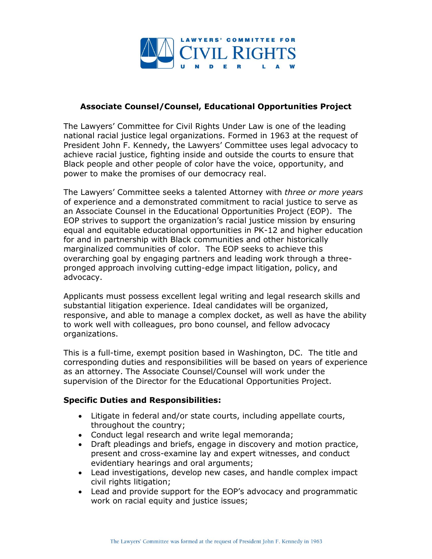

## **Associate Counsel/Counsel, Educational Opportunities Project**

The Lawyers' Committee for Civil Rights Under Law is one of the leading national racial justice legal organizations. Formed in 1963 at the request of President John F. Kennedy, the Lawyers' Committee uses legal advocacy to achieve racial justice, fighting inside and outside the courts to ensure that Black people and other people of color have the voice, opportunity, and power to make the promises of our democracy real.

The Lawyers' Committee seeks a talented Attorney with *three or more years* of experience and a demonstrated commitment to racial justice to serve as an Associate Counsel in the Educational Opportunities Project (EOP). The EOP strives to support the organization's racial justice mission by ensuring equal and equitable educational opportunities in PK-12 and higher education for and in partnership with Black communities and other historically marginalized communities of color. The EOP seeks to achieve this overarching goal by engaging partners and leading work through a threepronged approach involving cutting-edge impact litigation, policy, and advocacy.

Applicants must possess excellent legal writing and legal research skills and substantial litigation experience. Ideal candidates will be organized, responsive, and able to manage a complex docket, as well as have the ability to work well with colleagues, pro bono counsel, and fellow advocacy organizations.

This is a full-time, exempt position based in Washington, DC. The title and corresponding duties and responsibilities will be based on years of experience as an attorney. The Associate Counsel/Counsel will work under the supervision of the Director for the Educational Opportunities Project.

## **Specific Duties and Responsibilities:**

- Litigate in federal and/or state courts, including appellate courts, throughout the country;
- Conduct legal research and write legal memoranda;
- Draft pleadings and briefs, engage in discovery and motion practice, present and cross-examine lay and expert witnesses, and conduct evidentiary hearings and oral arguments;
- Lead investigations, develop new cases, and handle complex impact civil rights litigation;
- Lead and provide support for the EOP's advocacy and programmatic work on racial equity and justice issues;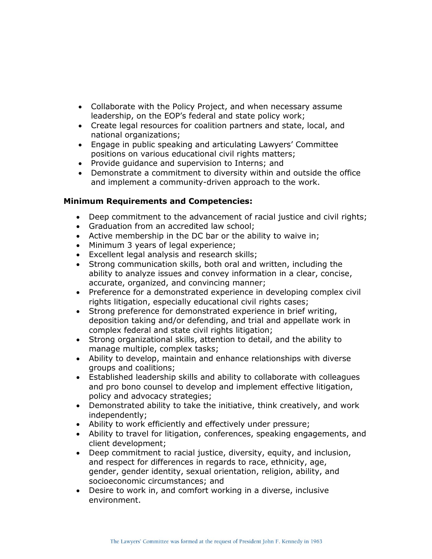- Collaborate with the Policy Project, and when necessary assume leadership, on the EOP's federal and state policy work;
- Create legal resources for coalition partners and state, local, and national organizations;
- Engage in public speaking and articulating Lawyers' Committee positions on various educational civil rights matters;
- Provide guidance and supervision to Interns; and
- Demonstrate a commitment to diversity within and outside the office and implement a community-driven approach to the work.

## **Minimum Requirements and Competencies:**

- Deep commitment to the advancement of racial justice and civil rights;
- Graduation from an accredited law school;
- Active membership in the DC bar or the ability to waive in;
- Minimum 3 years of legal experience;
- Excellent legal analysis and research skills;
- Strong communication skills, both oral and written, including the ability to analyze issues and convey information in a clear, concise, accurate, organized, and convincing manner;
- Preference for a demonstrated experience in developing complex civil rights litigation, especially educational civil rights cases;
- Strong preference for demonstrated experience in brief writing, deposition taking and/or defending, and trial and appellate work in complex federal and state civil rights litigation;
- Strong organizational skills, attention to detail, and the ability to manage multiple, complex tasks;
- Ability to develop, maintain and enhance relationships with diverse groups and coalitions;
- Established leadership skills and ability to collaborate with colleagues and pro bono counsel to develop and implement effective litigation, policy and advocacy strategies;
- Demonstrated ability to take the initiative, think creatively, and work independently;
- Ability to work efficiently and effectively under pressure;
- Ability to travel for litigation, conferences, speaking engagements, and client development;
- Deep commitment to racial justice, diversity, equity, and inclusion, and respect for differences in regards to race, ethnicity, age, gender, gender identity, sexual orientation, religion, ability, and socioeconomic circumstances; and
- Desire to work in, and comfort working in a diverse, inclusive environment.